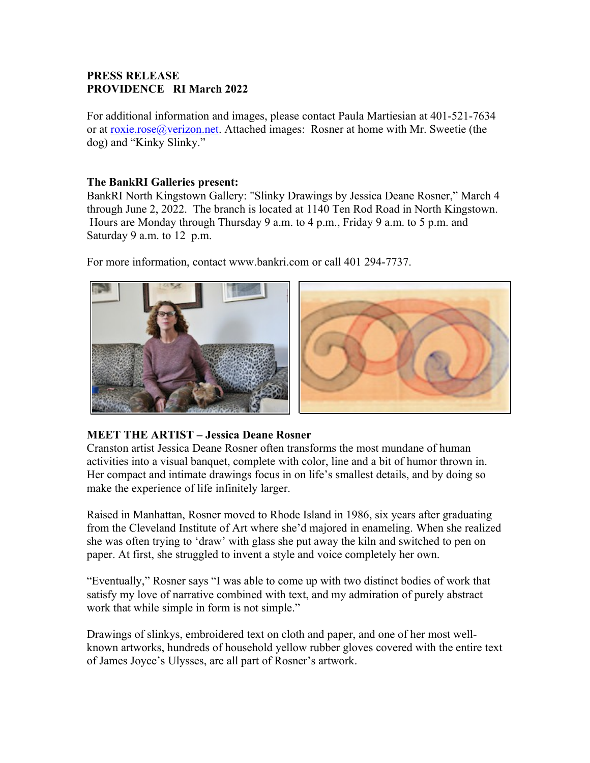## **PRESS RELEASE PROVIDENCE RI March 2022**

For additional information and images, please contact Paula Martiesian at 401-521-7634 or at [roxie.rose@verizon.net.](mailto:roxie.rose@verizon.net) Attached images: Rosner at home with Mr. Sweetie (the dog) and "Kinky Slinky."

## **The BankRI Galleries present:**

BankRI North Kingstown Gallery: "Slinky Drawings by Jessica Deane Rosner," March 4 through June 2, 2022. The branch is located at 1140 Ten Rod Road in North Kingstown. Hours are Monday through Thursday 9 a.m. to 4 p.m., Friday 9 a.m. to 5 p.m. and Saturday 9 a.m. to 12 p.m.

For more information, contact www.bankri.com or call 401 294-7737.



## **MEET THE ARTIST – Jessica Deane Rosner**

Cranston artist Jessica Deane Rosner often transforms the most mundane of human activities into a visual banquet, complete with color, line and a bit of humor thrown in. Her compact and intimate drawings focus in on life's smallest details, and by doing so make the experience of life infinitely larger.

Raised in Manhattan, Rosner moved to Rhode Island in 1986, six years after graduating from the Cleveland Institute of Art where she'd majored in enameling. When she realized she was often trying to 'draw' with glass she put away the kiln and switched to pen on paper. At first, she struggled to invent a style and voice completely her own.

"Eventually," Rosner says "I was able to come up with two distinct bodies of work that satisfy my love of narrative combined with text, and my admiration of purely abstract work that while simple in form is not simple."

Drawings of slinkys, embroidered text on cloth and paper, and one of her most wellknown artworks, hundreds of household yellow rubber gloves covered with the entire text of James Joyce's Ulysses, are all part of Rosner's artwork.